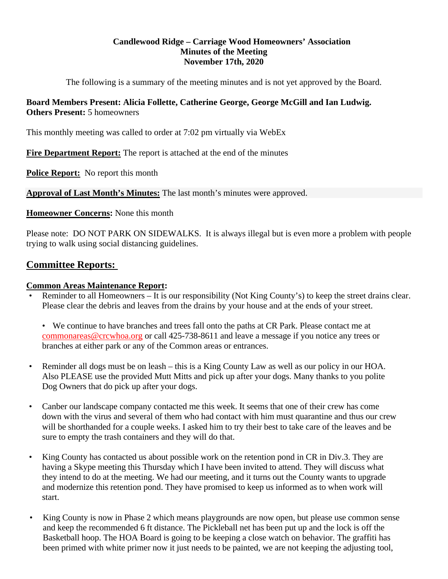#### **Candlewood Ridge – Carriage Wood Homeowners' Association Minutes of the Meeting November 17th, 2020**

The following is a summary of the meeting minutes and is not yet approved by the Board.

## **Board Members Present: Alicia Follette, Catherine George, George McGill and Ian Ludwig. Others Present:** 5 homeowners

This monthly meeting was called to order at 7:02 pm virtually via WebEx

**Fire Department Report:** The report is attached at the end of the minutes

**Police Report:** No report this month

**Approval of Last Month's Minutes:** The last month's minutes were approved.

**Homeowner Concerns:** None this month

Please note: DO NOT PARK ON SIDEWALKS. It is always illegal but is even more a problem with people trying to walk using social distancing guidelines.

## **Committee Reports:**

#### **Common Areas Maintenance Report:**

- Reminder to all Homeowners It is our responsibility (Not King County's) to keep the street drains clear. Please clear the debris and leaves from the drains by your house and at the ends of your street.
	- We continue to have branches and trees fall onto the paths at CR Park. Please contact me at commonareas@crcwhoa.org or call 425-738-8611 and leave a message if you notice any trees or branches at either park or any of the Common areas or entrances.
- Reminder all dogs must be on leash this is a King County Law as well as our policy in our HOA. Also PLEASE use the provided Mutt Mitts and pick up after your dogs. Many thanks to you polite Dog Owners that do pick up after your dogs.
- Canber our landscape company contacted me this week. It seems that one of their crew has come down with the virus and several of them who had contact with him must quarantine and thus our crew will be shorthanded for a couple weeks. I asked him to try their best to take care of the leaves and be sure to empty the trash containers and they will do that.
- King County has contacted us about possible work on the retention pond in CR in Div.3. They are having a Skype meeting this Thursday which I have been invited to attend. They will discuss what they intend to do at the meeting. We had our meeting, and it turns out the County wants to upgrade and modernize this retention pond. They have promised to keep us informed as to when work will start.
- King County is now in Phase 2 which means playgrounds are now open, but please use common sense and keep the recommended 6 ft distance. The Pickleball net has been put up and the lock is off the Basketball hoop. The HOA Board is going to be keeping a close watch on behavior. The graffiti has been primed with white primer now it just needs to be painted, we are not keeping the adjusting tool,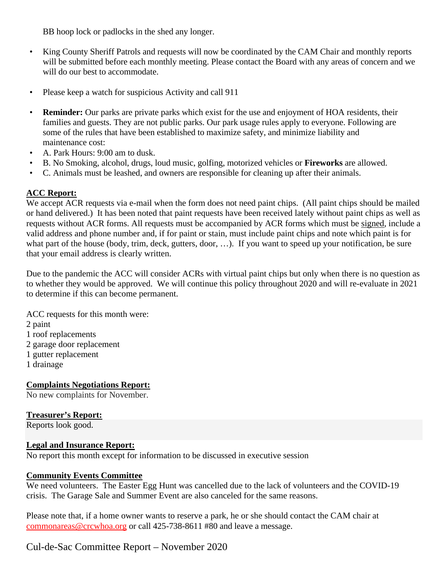BB hoop lock or padlocks in the shed any longer.

- King County Sheriff Patrols and requests will now be coordinated by the CAM Chair and monthly reports will be submitted before each monthly meeting. Please contact the Board with any areas of concern and we will do our best to accommodate.
- Please keep a watch for suspicious Activity and call 911
- **Reminder:** Our parks are private parks which exist for the use and enjoyment of HOA residents, their families and guests. They are not public parks. Our park usage rules apply to everyone. Following are some of the rules that have been established to maximize safety, and minimize liability and maintenance cost:
- A. Park Hours: 9:00 am to dusk.
- B. No Smoking, alcohol, drugs, loud music, golfing, motorized vehicles or **Fireworks** are allowed.
- C. Animals must be leashed, and owners are responsible for cleaning up after their animals.

#### **ACC Report:**

We accept ACR requests via e-mail when the form does not need paint chips. (All paint chips should be mailed or hand delivered.) It has been noted that paint requests have been received lately without paint chips as well as requests without ACR forms. All requests must be accompanied by ACR forms which must be signed, include a valid address and phone number and, if for paint or stain, must include paint chips and note which paint is for what part of the house (body, trim, deck, gutters, door, ...). If you want to speed up your notification, be sure that your email address is clearly written.

Due to the pandemic the ACC will consider ACRs with virtual paint chips but only when there is no question as to whether they would be approved. We will continue this policy throughout 2020 and will re-evaluate in 2021 to determine if this can become permanent.

ACC requests for this month were: 2 paint 1 roof replacements 2 garage door replacement 1 gutter replacement 1 drainage

## **Complaints Negotiations Report:**

No new complaints for November.

#### **Treasurer's Report:**

Reports look good.

#### **Legal and Insurance Report:**

No report this month except for information to be discussed in executive session

#### **Community Events Committee**

We need volunteers. The Easter Egg Hunt was cancelled due to the lack of volunteers and the COVID-19 crisis. The Garage Sale and Summer Event are also canceled for the same reasons.

Please note that, if a home owner wants to reserve a park, he or she should contact the CAM chair at commonareas@crcwhoa.org or call 425-738-8611 #80 and leave a message.

## Cul-de-Sac Committee Report – November 2020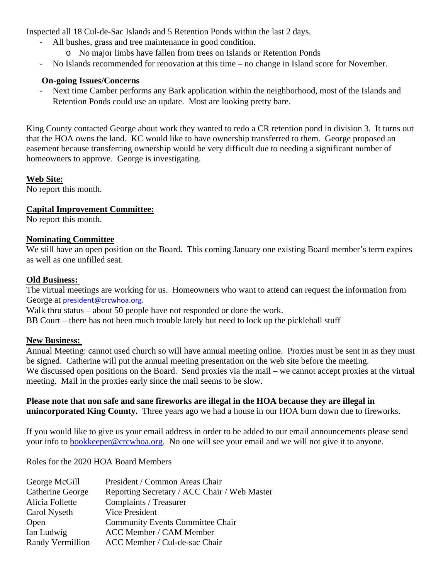Inspected all 18 Cul-de-Sac Islands and 5 Retention Ponds within the last 2 days.

- All bushes, grass and tree maintenance in good condition.
	- o No major limbs have fallen from trees on Islands or Retention Ponds
- ‐ No Islands recommended for renovation at this time no change in Island score for November.

## **On-going Issues/Concerns**

Next time Camber performs any Bark application within the neighborhood, most of the Islands and Retention Ponds could use an update. Most are looking pretty bare.

King County contacted George about work they wanted to redo a CR retention pond in division 3. It turns out that the HOA owns the land. KC would like to have ownership transferred to them. George proposed an easement because transferring ownership would be very difficult due to needing a significant number of homeowners to approve. George is investigating.

## **Web Site:**

No report this month.

**Capital Improvement Committee:** 

No report this month.

#### **Nominating Committee**

We still have an open position on the Board. This coming January one existing Board member's term expires as well as one unfilled seat.

#### **Old Business:**

The virtual meetings are working for us. Homeowners who want to attend can request the information from George at president@crcwhoa.org.

Walk thru status – about 50 people have not responded or done the work.

BB Court – there has not been much trouble lately but need to lock up the pickleball stuff

## **New Business:**

Annual Meeting: cannot used church so will have annual meeting online. Proxies must be sent in as they must be signed. Catherine will put the annual meeting presentation on the web site before the meeting. We discussed open positions on the Board. Send proxies via the mail – we cannot accept proxies at the virtual meeting. Mail in the proxies early since the mail seems to be slow.

#### **Please note that non safe and sane fireworks are illegal in the HOA because they are illegal in unincorporated King County.** Three years ago we had a house in our HOA burn down due to fireworks.

If you would like to give us your email address in order to be added to our email announcements please send your info to bookkeeper@crcwhoa.org. No one will see your email and we will not give it to anyone.

Roles for the 2020 HOA Board Members

| George McGill           | President / Common Areas Chair               |
|-------------------------|----------------------------------------------|
| <b>Catherine George</b> | Reporting Secretary / ACC Chair / Web Master |
| Alicia Follette         | Complaints / Treasurer                       |
| Carol Nyseth            | Vice President                               |
| Open                    | <b>Community Events Committee Chair</b>      |
| Ian Ludwig              | <b>ACC Member / CAM Member</b>               |
| <b>Randy Vermillion</b> | ACC Member / Cul-de-sac Chair                |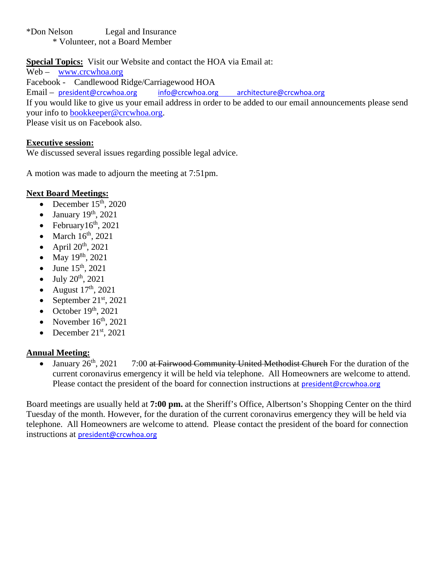\*Don Nelson Legal and Insurance

\* Volunteer, not a Board Member

**Special Topics:** Visit our Website and contact the HOA via Email at:

Web – www.crcwhoa.org Facebook - Candlewood Ridge/Carriagewood HOA Email – president@crcwhoa.org info@crcwhoa.org architecture@crcwhoa.org If you would like to give us your email address in order to be added to our email announcements please send your info to bookkeeper@crcwhoa.org. Please visit us on Facebook also.

## **Executive session:**

We discussed several issues regarding possible legal advice.

A motion was made to adjourn the meeting at 7:51pm.

## **Next Board Meetings:**

- December  $15<sup>th</sup>$ , 2020
- $\bullet$  January 19<sup>th</sup>, 2021
- February $16^{th}$ , 2021
- $\bullet$  March 16<sup>th</sup>, 2021
- April  $20^{th}$ ,  $2021$
- May  $19^{8h}$ , 2021
- June 15th, 2021
- $\bullet$  July 20<sup>th</sup>, 2021
- August  $17<sup>th</sup>$ , 2021
- September  $21<sup>st</sup>$ , 2021
- October  $19<sup>th</sup>$ , 2021
- November  $16<sup>th</sup>$ , 2021
- December  $21<sup>st</sup>$ , 2021

## **Annual Meeting:**

January 26<sup>th</sup>, 2021 7:00 at Fairwood Community United Methodist Church For the duration of the current coronavirus emergency it will be held via telephone. All Homeowners are welcome to attend. Please contact the president of the board for connection instructions at president@crcwhoa.org

Board meetings are usually held at **7:00 pm.** at the Sheriff's Office, Albertson's Shopping Center on the third Tuesday of the month. However, for the duration of the current coronavirus emergency they will be held via telephone. All Homeowners are welcome to attend. Please contact the president of the board for connection instructions at president@crcwhoa.org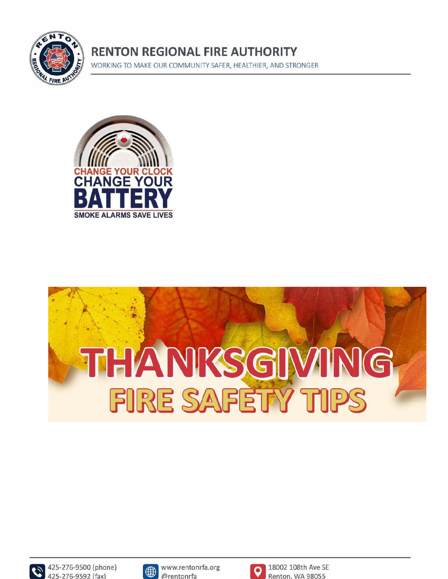

**RENTON REGIONAL FIRE AUTHORITY** WORKING TO MAKE OUR COMMUNITY SAFER, HEALTHIER, AND STRONGER









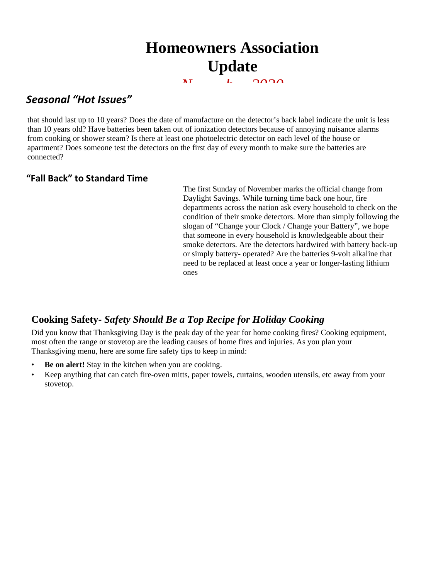# **Homeowners Association Update N** *1* **2020**

*Seasonal "Hot Issues"*

that should last up to 10 years? Does the date of manufacture on the detector's back label indicate the unit is less than 10 years old? Have batteries been taken out of ionization detectors because of annoying nuisance alarms from cooking or shower steam? Is there at least one photoelectric detector on each level of the house or apartment? Does someone test the detectors on the first day of every month to make sure the batteries are connected?

# **"Fall Back" to Standard Time**

The first Sunday of November marks the official change from Daylight Savings. While turning time back one hour, fire departments across the nation ask every household to check on the condition of their smoke detectors. More than simply following the slogan of "Change your Clock / Change your Battery", we hope that someone in every household is knowledgeable about their smoke detectors. Are the detectors hardwired with battery back-up or simply battery- operated? Are the batteries 9-volt alkaline that need to be replaced at least once a year or longer-lasting lithium ones

# **Cooking Safety-** *Safety Should Be a Top Recipe for Holiday Cooking*

Did you know that Thanksgiving Day is the peak day of the year for home cooking fires? Cooking equipment, most often the range or stovetop are the leading causes of home fires and injuries. As you plan your Thanksgiving menu, here are some fire safety tips to keep in mind:

- **Be on alert!** Stay in the kitchen when you are cooking.
- Keep anything that can catch fire-oven mitts, paper towels, curtains, wooden utensils, etc away from your stovetop.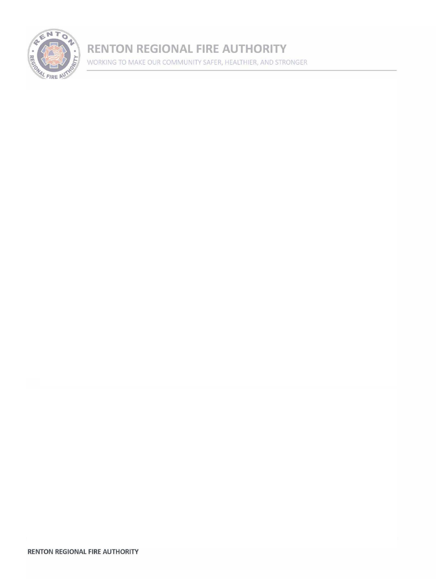

# **RENTON REGIONAL FIRE AUTHORITY**

WORKING TO MAKE OUR COMMUNITY SAFER, HEALTHIER, AND STRONGER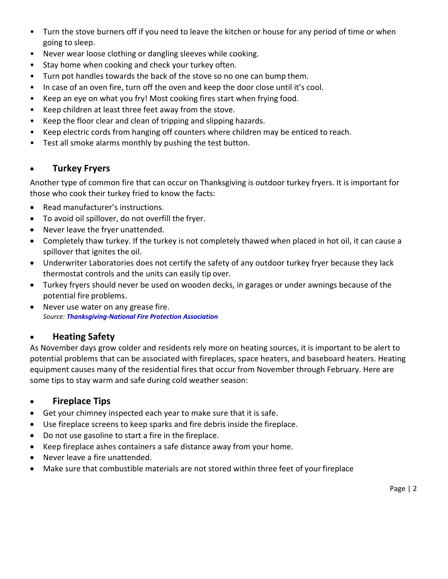- Turn the stove burners off if you need to leave the kitchen or house for any period of time or when going to sleep.
- Never wear loose clothing or dangling sleeves while cooking.
- Stay home when cooking and check your turkey often.
- Turn pot handles towards the back of the stove so no one can bump them.
- In case of an oven fire, turn off the oven and keep the door close until it's cool.
- Keep an eye on what you fry! Most cooking fires start when frying food.
- Keep children at least three feet away from the stove.
- Keep the floor clear and clean of tripping and slipping hazards.
- Keep electric cords from hanging off counters where children may be enticed to reach.
- Test all smoke alarms monthly by pushing the test button.

# **Turkey Fryers**

Another type of common fire that can occur on Thanksgiving is outdoor turkey fryers. It is important for those who cook their turkey fried to know the facts:

- Read manufacturer's instructions.
- To avoid oil spillover, do not overfill the fryer.
- Never leave the fryer unattended.
- Completely thaw turkey. If the turkey is not completely thawed when placed in hot oil, it can cause a spillover that ignites the oil.
- Underwriter Laboratories does not certify the safety of any outdoor turkey fryer because they lack thermostat controls and the units can easily tip over.
- Turkey fryers should never be used on wooden decks, in garages or under awnings because of the potential fire problems.
- Never use water on any grease fire. *Source: Thanksgiving‐National Fire Protection Association*

# **Heating Safety**

As November days grow colder and residents rely more on heating sources, it is important to be alert to potential problems that can be associated with fireplaces, space heaters, and baseboard heaters. Heating equipment causes many of the residential fires that occur from November through February. Here are some tips to stay warm and safe during cold weather season:

# **Fireplace Tips**

- Get your chimney inspected each year to make sure that it is safe.
- Use fireplace screens to keep sparks and fire debris inside the fireplace.
- Do not use gasoline to start a fire in the fireplace.
- Keep fireplace ashes containers a safe distance away from your home.
- Never leave a fire unattended.
- Make sure that combustible materials are not stored within three feet of your fireplace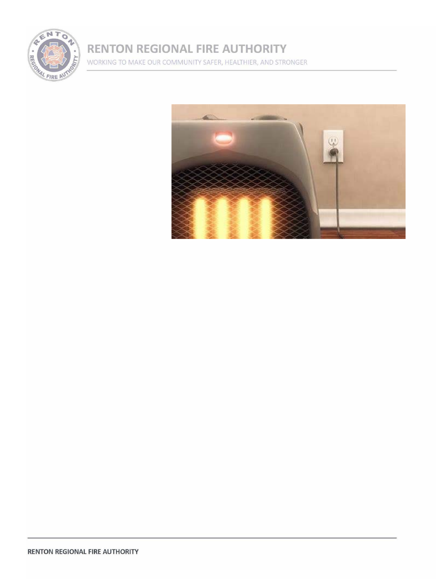

# **RENTON REGIONAL FIRE AUTHORITY**

WORKING TO MAKE OUR COMMUNITY SAFER, HEALTHIER, AND STRONGER